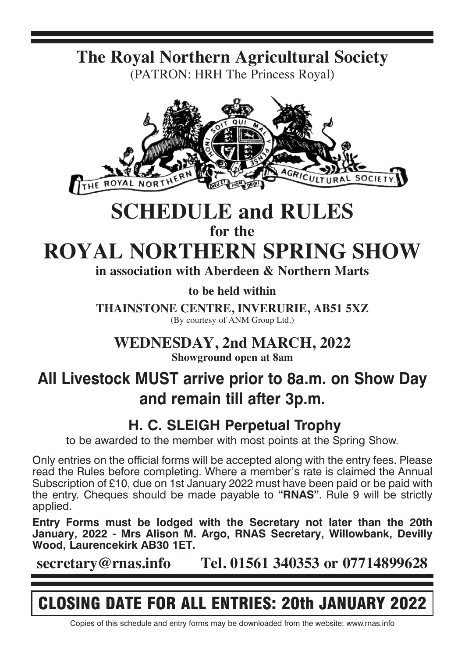**The Royal Northern Agricultural Society** (PATRON: HRH The Princess Royal)



# **SCHEDULE and RULES**

**for the**

**ROYAL NORTHERN SPRING SHOW**

**in association with Aberdeen & Northern Marts**

**to be held within**

**THAINSTONE CENTRE, INVERURIE, AB51 5XZ** (By courtesy of ANM Group Ltd.)

**WEDNESDAY, 2nd MARCH, 2022**

**Showground open at 8am**

# **All Livestock MUST arrive prior to 8a.m. on Show Day and remain till after 3p.m.**

# **H. C. SLEIGH Perpetual Trophy**

to be awarded to the member with most points at the Spring Show.

Only entries on the official forms will be accepted along with the entry fees. Please read the Rules before completing. Where a member's rate is claimed the Annual Subscription of £10, due on 1st January 2022 must have been paid or be paid with the entry. Cheques should be made payable to **"RNAS"**. Rule 9 will be strictly applied.

**Entry Forms must be lodged with the Secretary not later than the 20th January, 2022 - Mrs Alison M. Argo, RNAS Secretary, Willowbank, Devilly Wood, Laurencekirk AB30 1ET.**

**secretary@rnas.info Tel. 01561 340353 or 07714899628**

# CLOSING DATE FOR ALL ENTRIES: 20th JANUARY 2022

Copies of this schedule and entry forms may be downloaded from the website: www.rnas.info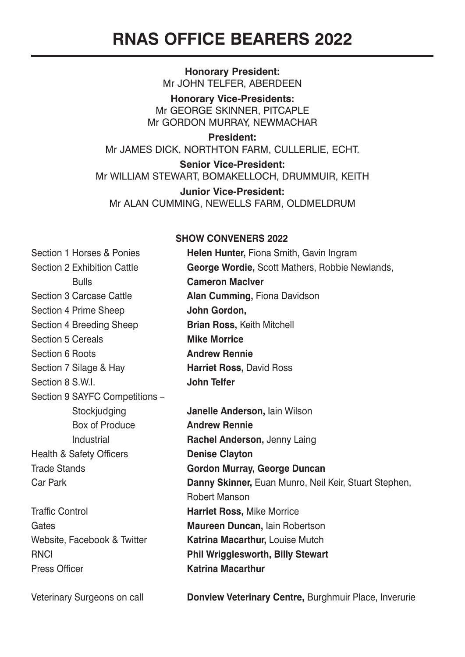**Honorary President:** Mr JOHN TELFER, ABERDEEN

**Honorary Vice-Presidents:** Mr GEORGE SKINNER, PITCAPLE Mr GORDON MURRAY, NEWMACHAR

**President:** Mr JAMES DICK, NORTHTON FARM, CULLERLIE, ECHT.

**Senior Vice-President:** Mr WILLIAM STEWART, BOMAKELLOCH, DRUMMUIR, KEITH

**Junior Vice-President:** Mr ALAN CUMMING, NEWELLS FARM, OLDMELDRUM

### **SHOW CONVENERS 2022**

| Section 1 Horses & Ponies      | <b>Helen Hunter, Fiona Smith, Gavin Ingram</b>        |  |  |
|--------------------------------|-------------------------------------------------------|--|--|
| Section 2 Exhibition Cattle    | George Wordie, Scott Mathers, Robbie Newlands,        |  |  |
| <b>Bulls</b>                   | <b>Cameron MacIver</b>                                |  |  |
| Section 3 Carcase Cattle       | Alan Cumming, Fiona Davidson                          |  |  |
| Section 4 Prime Sheep          | John Gordon,                                          |  |  |
| Section 4 Breeding Sheep       | <b>Brian Ross, Keith Mitchell</b>                     |  |  |
| Section 5 Cereals              | <b>Mike Morrice</b>                                   |  |  |
| Section 6 Roots                | <b>Andrew Rennie</b>                                  |  |  |
| Section 7 Silage & Hay         | <b>Harriet Ross, David Ross</b>                       |  |  |
| Section 8 S.W.I.               | John Telfer                                           |  |  |
| Section 9 SAYFC Competitions - |                                                       |  |  |
| Stockjudging                   | <b>Janelle Anderson, lain Wilson</b>                  |  |  |
| Box of Produce                 | <b>Andrew Rennie</b>                                  |  |  |
| Industrial                     | Rachel Anderson, Jenny Laing                          |  |  |
| Health & Safety Officers       | <b>Denise Clayton</b>                                 |  |  |
| <b>Trade Stands</b>            | Gordon Murray, George Duncan                          |  |  |
| Car Park                       | Danny Skinner, Euan Munro, Neil Keir, Stuart Stephen, |  |  |
|                                | Robert Manson                                         |  |  |
| <b>Traffic Control</b>         | Harriet Ross, Mike Morrice                            |  |  |
| Gates                          | Maureen Duncan, lain Robertson                        |  |  |
| Website, Facebook & Twitter    | Katrina Macarthur, Louise Mutch                       |  |  |
| <b>RNCI</b>                    | <b>Phil Wrigglesworth, Billy Stewart</b>              |  |  |
| Press Officer                  | <b>Katrina Macarthur</b>                              |  |  |
| Veterinary Surgeons on call    | Donview Veterinary Centre, Burghmuir Place, Inverurie |  |  |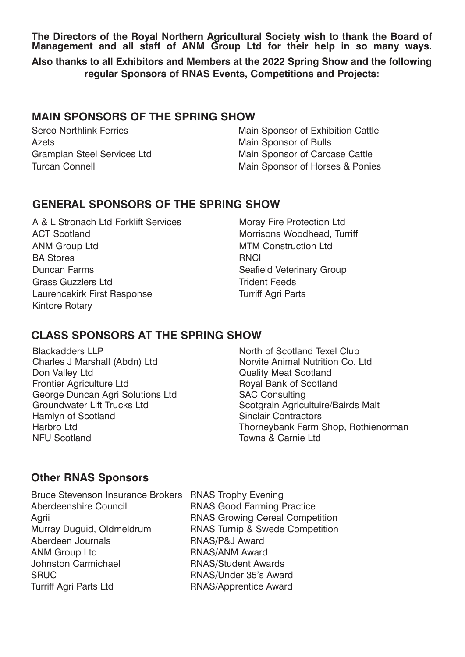**The Directors of the Royal Northern Agricultural Society wish to thank the Board of Management and all staff of ANM Group Ltd for their help in so many ways.**

**Also thanks to all Exhibitors and Members at the 2022 Spring Show and the following regular Sponsors of RNAS Events, Competitions and Projects:**

# **MAIN SPONSORS OF THE SPRING SHOW**

Serco Northlink Ferries Azets Grampian Steel Services Ltd Turcan Connell

Main Sponsor of Exhibition Cattle Main Sponsor of Bulls Main Sponsor of Carcase Cattle Main Sponsor of Horses & Ponies

# **GENERAL SPONSORS OF THE SPRING SHOW**

A & L Stronach Ltd Forklift Services ACT Scotland ANM Group Ltd BA Stores Duncan Farms Grass Guzzlers Ltd Laurencekirk First Response Kintore Rotary

Moray Fire Protection Ltd Morrisons Woodhead, Turriff MTM Construction Ltd **RNCI** Seafield Veterinary Group Trident Feeds Turriff Agri Parts

# **CLASS SPONSORS AT THE SPRING SHOW**

Blackadders LLP Charles J Marshall (Abdn) Ltd Don Valley Ltd Frontier Agriculture Ltd George Duncan Agri Solutions Ltd Groundwater Lift Trucks Ltd Hamlyn of Scotland Harbro Ltd NFU Scotland

North of Scotland Texel Club Norvite Animal Nutrition Co. Ltd Quality Meat Scotland Royal Bank of Scotland SAC Consulting Scotgrain Agricultuire/Bairds Malt Sinclair Contractors Thorneybank Farm Shop, Rothienorman Towns & Carnie Ltd

# **Other RNAS Sponsors**

Bruce Stevenson Insurance Brokers RNAS Trophy Evening Aberdeenshire Council RNAS Good Farming Practice Aberdeen Journals RNAS/P&J Award ANM Group Ltd RNAS/ANM Award Johnston Carmichael RNAS/Student Awards SRUC RNAS/Under 35's Award Turriff Agri Parts Ltd **RNAS/Apprentice Award** 

Agrii **Agrii RNAS Growing Cereal Competition** Murray Duguid, Oldmeldrum RNAS Turnip & Swede Competition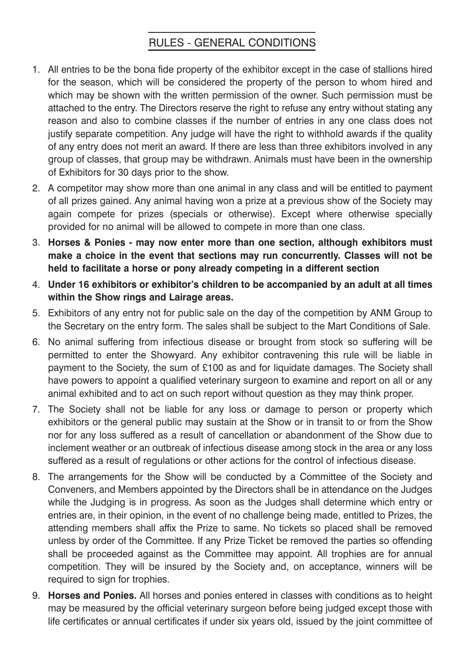# RULES - GENERAL CONDITIONS

- 1. All entries to be the bona fide property of the exhibitor except in the case of stallions hired for the season, which will be considered the property of the person to whom hired and which may be shown with the written permission of the owner. Such permission must be attached to the entry. The Directors reserve the right to refuse any entry without stating any reason and also to combine classes if the number of entries in any one class does not justify separate competition. Any judge will have the right to withhold awards if the quality of any entry does not merit an award. If there are less than three exhibitors involved in any group of classes, that group may be withdrawn. Animals must have been in the ownership of Exhibitors for 30 days prior to the show.
- 2. A competitor may show more than one animal in any class and will be entitled to payment of all prizes gained. Any animal having won a prize at a previous show of the Society may again compete for prizes (specials or otherwise). Except where otherwise specially provided for no animal will be allowed to compete in more than one class.
- 3. **Horses & Ponies may now enter more than one section, although exhibitors must make a choice in the event that sections may run concurrently. Classes will not be held to facilitate a horse or pony already competing in a different section**
- 4. **Under 16 exhibitors or exhibitor's children to be accompanied by an adult at all times within the Show rings and Lairage areas.**
- 5. Exhibitors of any entry not for public sale on the day of the competition by ANM Group to the Secretary on the entry form. The sales shall be subject to the Mart Conditions of Sale.
- 6. No animal suffering from infectious disease or brought from stock so suffering will be permitted to enter the Showyard. Any exhibitor contravening this rule will be liable in payment to the Society, the sum of £100 as and for liquidate damages. The Society shall have powers to appoint a qualified veterinary surgeon to examine and report on all or any animal exhibited and to act on such report without question as they may think proper.
- 7. The Society shall not be liable for any loss or damage to person or property which exhibitors or the general public may sustain at the Show or in transit to or from the Show nor for any loss suffered as a result of cancellation or abandonment of the Show due to inclement weather or an outbreak of infectious disease among stock in the area or any loss suffered as a result of regulations or other actions for the control of infectious disease.
- 8. The arrangements for the Show will be conducted by a Committee of the Society and Conveners, and Members appointed by the Directors shall be in attendance on the Judges while the Judging is in progress. As soon as the Judges shall determine which entry or entries are, in their opinion, in the event of no challenge being made, entitled to Prizes, the attending members shall affix the Prize to same. No tickets so placed shall be removed unless by order of the Committee. If any Prize Ticket be removed the parties so offending shall be proceeded against as the Committee may appoint. All trophies are for annual competition. They will be insured by the Society and, on acceptance, winners will be required to sign for trophies.
- 9. **Horses and Ponies.** All horses and ponies entered in classes with conditions as to height may be measured by the official veterinary surgeon before being judged except those with life certificates or annual certificates if under six years old, issued by the joint committee of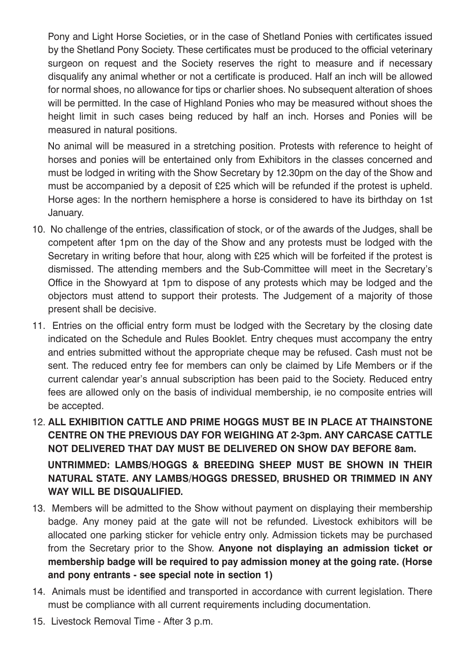Pony and Light Horse Societies, or in the case of Shetland Ponies with certificates issued by the Shetland Pony Society. These certificates must be produced to the official veterinary surgeon on request and the Society reserves the right to measure and if necessary disqualify any animal whether or not a certificate is produced. Half an inch will be allowed for normal shoes, no allowance for tips or charlier shoes. No subsequent alteration of shoes will be permitted. In the case of Highland Ponies who may be measured without shoes the height limit in such cases being reduced by half an inch. Horses and Ponies will be measured in natural positions.

No animal will be measured in a stretching position. Protests with reference to height of horses and ponies will be entertained only from Exhibitors in the classes concerned and must be lodged in writing with the Show Secretary by 12.30pm on the day of the Show and must be accompanied by a deposit of £25 which will be refunded if the protest is upheld. Horse ages: In the northern hemisphere a horse is considered to have its birthday on 1st January.

- 10. No challenge of the entries, classification of stock, or of the awards of the Judges, shall be competent after 1pm on the day of the Show and any protests must be lodged with the Secretary in writing before that hour, along with £25 which will be forfeited if the protest is dismissed. The attending members and the Sub-Committee will meet in the Secretary's Office in the Showyard at 1pm to dispose of any protests which may be lodged and the objectors must attend to support their protests. The Judgement of a majority of those present shall be decisive.
- 11. Entries on the official entry form must be lodged with the Secretary by the closing date indicated on the Schedule and Rules Booklet. Entry cheques must accompany the entry and entries submitted without the appropriate cheque may be refused. Cash must not be sent. The reduced entry fee for members can only be claimed by Life Members or if the current calendar year's annual subscription has been paid to the Society. Reduced entry fees are allowed only on the basis of individual membership, ie no composite entries will be accepted.
- 12. **ALL EXHIBITION CATTLE AND PRIME HOGGS MUST BE IN PLACE AT THAINSTONE CENTRE ON THE PREVIOUS DAY FOR WEIGHING AT 2-3pm. ANY CARCASE CATTLE NOT DELIVERED THAT DAY MUST BE DELIVERED ON SHOW DAY BEFORE 8am. UNTRIMMED: LAMBS/HOGGS & BREEDING SHEEP MUST BE SHOWN IN THEIR NATURAL STATE. ANY LAMBS/HOGGS DRESSED, BRUSHED OR TRIMMED IN ANY WAY WILL BE DISQUALIFIED.**
- 13. Members will be admitted to the Show without payment on displaying their membership badge. Any money paid at the gate will not be refunded. Livestock exhibitors will be allocated one parking sticker for vehicle entry only. Admission tickets may be purchased from the Secretary prior to the Show. **Anyone not displaying an admission ticket or membership badge will be required to pay admission money at the going rate. (Horse and pony entrants - see special note in section 1)**
- 14. Animals must be identified and transported in accordance with current legislation. There must be compliance with all current requirements including documentation.
- 15. Livestock Removal Time After 3 p.m.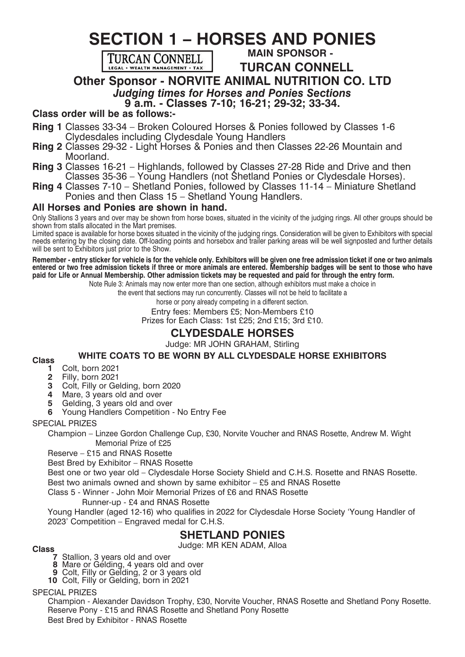# **SECTION 1 – HORSES AND PONIES**



 **MAIN SPONSOR -** 

 **TURCAN CONNELL**

**Other Sponsor - NORVITE ANIMAL NUTRITION CO. LTD**

# *Judging times for Horses and Ponies Sections* **9 a.m. - Classes 7-10; 16-21; 29-32; 33-34.**

### **Class order will be as follows:-**

- **Ring 1** Classes 33-34 Broken Coloured Horses & Ponies followed by Classes 1-6 Clydesdales including Clydesdale Young Handlers
- **Ring 2** Classes 29-32 Light Horses & Ponies and then Classes 22-26 Mountain and Moorland.
- **Ring 3** Classes 16-21 Highlands, followed by Classes 27-28 Ride and Drive and then Classes 35-36 – Young Handlers (not Shetland Ponies or Clydesdale Horses).
- **Ring 4** Classes 7-10 Shetland Ponies, followed by Classes 11-14 Miniature Shetland Ponies and then Class 15 – Shetland Young Handlers.

### **All Horses and Ponies are shown in hand.**

Only Stallions 3 years and over may be shown from horse boxes, situated in the vicinity of the judging rings. All other groups should be shown from stalls allocated in the Mart premises.

Limited space is available for horse boxes situated in the vicinity of the judging rings. Consideration will be given to Exhibitors with special needs entering by the closing date. Off-loading points and horsebox and trailer parking areas will be well signposted and further details will be sent to Exhibitors just prior to the Show.

**Remember - entry sticker for vehicle is for the vehicle only. Exhibitors will be given one free admission ticket if one or two animals entered or two free admission tickets if three or more animals are entered. Membership badges will be sent to those who have paid for Life or Annual Membership. Other admission tickets may be requested and paid for through the entry form.**

Note Rule 3: Animals may now enter more than one section, although exhibitors must make a choice in

the event that sections may run concurrently. Classes will not be held to facilitate a

horse or pony already competing in a different section.

Entry fees: Members £5; Non-Members £10

Prizes for Each Class: 1st £25; 2nd £15; 3rd £10.

# **CLYDESDALE HORSES**

Judge: MR JOHN GRAHAM, Stirling

# **Class** WHITE COATS TO BE WORN BY ALL CLYDESDALE HORSE EXHIBITORS<br>**1** Colt born 2021

- - **1** Colt, born 2021
	- **2** Filly, born 2021
	- **3** Colt, Filly or Gelding, born 2020
	- **4** Mare, 3 years old and over<br>**5** Gelding, 3 years old and over
	- **5** Gelding, 3 years old and over
	- **6** Young Handlers Competition No Entry Fee

### SPECIAL PRIZES

Champion – Linzee Gordon Challenge Cup, £30, Norvite Voucher and RNAS Rosette, Andrew M. Wight Memorial Prize of £25

Reserve – £15 and RNAS Rosette

Best Bred by Exhibitor – RNAS Rosette

Best one or two year old – Clydesdale Horse Society Shield and C.H.S. Rosette and RNAS Rosette. Best two animals owned and shown by same exhibitor – £5 and RNAS Rosette

Class 5 - Winner - John Moir Memorial Prizes of £6 and RNAS Rosette

### Runner-up - £4 and RNAS Rosette

 Young Handler (aged 12-16) who qualifies in 2022 for Clydesdale Horse Society 'Young Handler of 2023' Competition – Engraved medal for C.H.S.

# **SHETLAND PONIES**<br>Judge: MR KEN ADAM, Alloa

- Judge: MR KEN ADAM, Alloa **Class <sup>7</sup>** Stallion, 3 years old and over **<sup>8</sup>** Mare or Gelding, 4 years old and over **<sup>9</sup>** Colt, Filly or Gelding, 2 or 3 years old
	-
	- **10** Colt, Filly or Gelding, born in 2021

### SPECIAL PRIZES

Champion - Alexander Davidson Trophy, £30, Norvite Voucher, RNAS Rosette and Shetland Pony Rosette. Reserve Pony - £15 and RNAS Rosette and Shetland Pony Rosette Best Bred by Exhibitor - RNAS Rosette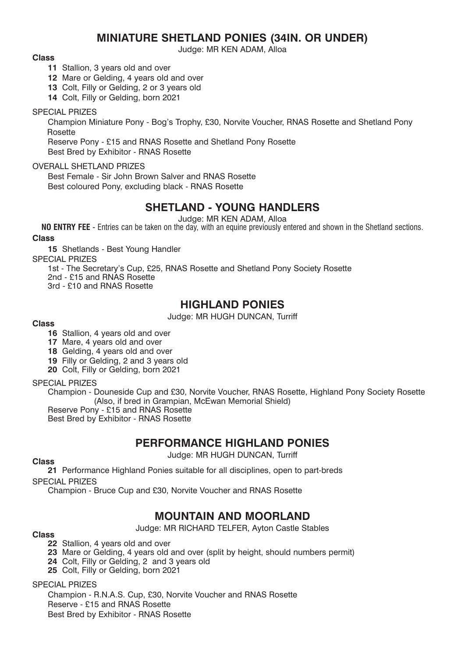# **MINIATURE SHETLAND PONIES (34IN. OR UNDER)**

Judge: MR KEN ADAM, Alloa

#### **Class**

- **11** Stallion, 3 years old and over
- **12** Mare or Gelding, 4 years old and over
- **13** Colt, Filly or Gelding, 2 or 3 years old
- **14** Colt, Filly or Gelding, born 2021

### SPECIAL PRIZES

Champion Miniature Pony - Bog's Trophy, £30, Norvite Voucher, RNAS Rosette and Shetland Pony Rosette

Reserve Pony - £15 and RNAS Rosette and Shetland Pony Rosette Best Bred by Exhibitor - RNAS Rosette

### OVERALL SHETLAND PRIZES

Best Female - Sir John Brown Salver and RNAS Rosette Best coloured Pony, excluding black - RNAS Rosette

# **SHETLAND - YOUNG HANDLERS**

Judge: MR KEN ADAM, Alloa

**NO ENTRY FEE** - Entries can be taken on the day, with an equine previously entered and shown in the Shetland sections.

### **Class**

**15** Shetlands - Best Young Handler

SPECIAL PRIZES

1st - The Secretary's Cup, £25, RNAS Rosette and Shetland Pony Society Rosette

2nd - £15 and RNAS Rosette

3rd - £10 and RNAS Rosette

# **HIGHLAND PONIES**

Judge: MR HUGH DUNCAN, Turriff

### **Class**

- **16** Stallion, 4 years old and over
- **17** Mare, 4 years old and over
- **18** Gelding, 4 years old and over
- **19** Filly or Gelding, 2 and 3 years old
- **20** Colt, Filly or Gelding, born 2021

### SPECIAL PRIZES

Champion - Douneside Cup and £30, Norvite Voucher, RNAS Rosette, Highland Pony Society Rosette (Also, if bred in Grampian, McEwan Memorial Shield)

Reserve Pony - £15 and RNAS Rosette

Best Bred by Exhibitor - RNAS Rosette

# **PERFORMANCE HIGHLAND PONIES**

Judge: MR HUGH DUNCAN, Turriff

### **Class**

**21** Performance Highland Ponies suitable for all disciplines, open to part-breds

SPECIAL PRIZES

Champion - Bruce Cup and £30, Norvite Voucher and RNAS Rosette

# **MOUNTAIN AND MOORLAND**

Judge: MR RICHARD TELFER, Ayton Castle Stables **Class**

- **22** Stallion, 4 years old and over
- **23** Mare or Gelding, 4 years old and over (split by height, should numbers permit)
- **24** Colt, Filly or Gelding, 2 and 3 years old
- **25** Colt, Filly or Gelding, born 2021

### SPECIAL PRIZES

Champion - R.N.A.S. Cup, £30, Norvite Voucher and RNAS Rosette Reserve - £15 and RNAS Rosette Best Bred by Exhibitor - RNAS Rosette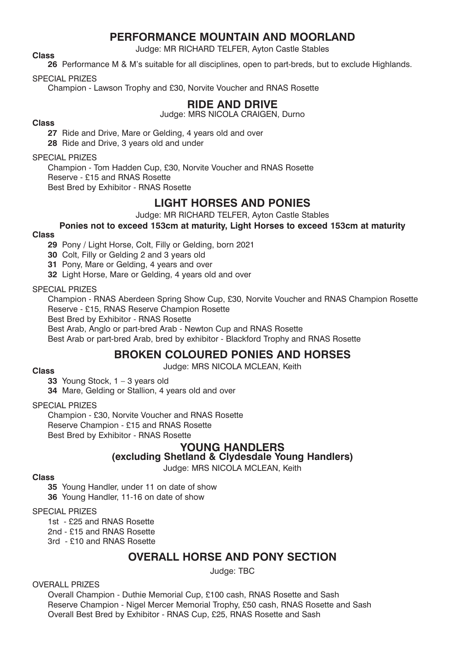# **PERFORMANCE MOUNTAIN AND MOORLAND**

Judge: MR RICHARD TELFER, Ayton Castle Stables **Class**

**26** Performance M & M's suitable for all disciplines, open to part-breds, but to exclude Highlands.

SPECIAL PRIZES

Champion - Lawson Trophy and £30, Norvite Voucher and RNAS Rosette

# **RIDE AND DRIVE**

Judge: MRS NICOLA CRAIGEN, Durno

### **Class**

**27** Ride and Drive, Mare or Gelding, 4 years old and over

**28** Ride and Drive, 3 years old and under

### SPECIAL PRIZES

Champion - Tom Hadden Cup, £30, Norvite Voucher and RNAS Rosette Reserve - £15 and RNAS Rosette Best Bred by Exhibitor - RNAS Rosette

# **LIGHT HORSES AND PONIES**

Judge: MR RICHARD TELFER, Ayton Castle Stables

# **Ponies not to exceed 153cm at maturity, Light Horses to exceed 153cm at maturity**

### **Class**

**29** Pony / Light Horse, Colt, Filly or Gelding, born 2021

**30** Colt, Filly or Gelding 2 and 3 years old

**31** Pony, Mare or Gelding, 4 years and over

**32** Light Horse, Mare or Gelding, 4 years old and over

SPECIAL PRIZES

Champion - RNAS Aberdeen Spring Show Cup, £30, Norvite Voucher and RNAS Champion Rosette Reserve - £15, RNAS Reserve Champion Rosette

Best Bred by Exhibitor - RNAS Rosette

Best Arab, Anglo or part-bred Arab - Newton Cup and RNAS Rosette

Best Arab or part-bred Arab, bred by exhibitor - Blackford Trophy and RNAS Rosette

### **BROKEN COLOURED PONIES AND HORSES**

Judge: MRS NICOLA MCLEAN, Keith **Class**

**33** Young Stock, 1 – 3 years old **34** Mare, Gelding or Stallion, 4 years old and over

### SPECIAL PRIZES

Champion - £30, Norvite Voucher and RNAS Rosette Reserve Champion - £15 and RNAS Rosette Best Bred by Exhibitor - RNAS Rosette

### **YOUNG HANDLERS**

# **(excluding Shetland & Clydesdale Young Handlers)**

Judge: MRS NICOLA MCLEAN, Keith

### **Class**

**35** Young Handler, under 11 on date of show

**36** Young Handler, 11-16 on date of show

### SPECIAL PRIZES

1st - £25 and RNAS Rosette

2nd - £15 and RNAS Rosette

3rd - £10 and RNAS Rosette

# **OVERALL HORSE AND PONY SECTION**

Judge: TBC

### OVERALL PRIZES

Overall Champion - Duthie Memorial Cup, £100 cash, RNAS Rosette and Sash Reserve Champion - Nigel Mercer Memorial Trophy, £50 cash, RNAS Rosette and Sash Overall Best Bred by Exhibitor - RNAS Cup, £25, RNAS Rosette and Sash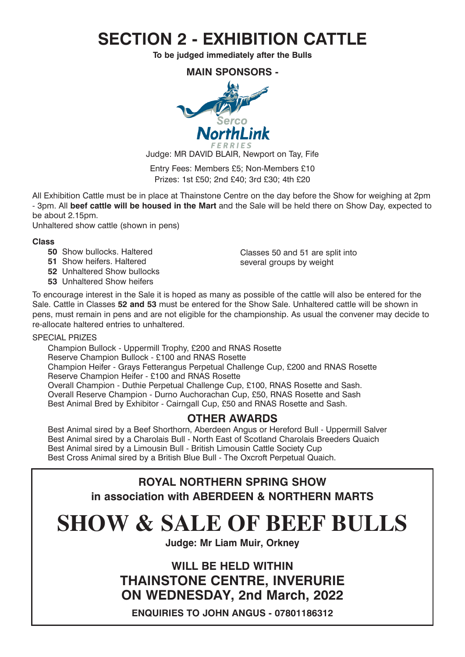# **SECTION 2 - EXHIBITION CATTLE**

**To be judged immediately after the Bulls**

**MAIN SPONSORS -** 



Judge: MR DAVID BLAIR, Newport on Tay, Fife

Entry Fees: Members £5; Non-Members £10 Prizes: 1st £50; 2nd £40; 3rd £30; 4th £20

All Exhibition Cattle must be in place at Thainstone Centre on the day before the Show for weighing at 2pm - 3pm. All **beef cattle will be housed in the Mart** and the Sale will be held there on Show Day, expected to be about 2.15pm.

Unhaltered show cattle (shown in pens)

### **Class**

- **50** Show bullocks. Haltered
- **51** Show heifers. Haltered
- **52** Unhaltered Show bullocks
- **53** Unhaltered Show heifers

Classes 50 and 51 are split into several groups by weight

To encourage interest in the Sale it is hoped as many as possible of the cattle will also be entered for the Sale. Cattle in Classes **52 and 53** must be entered for the Show Sale. Unhaltered cattle will be shown in pens, must remain in pens and are not eligible for the championship. As usual the convener may decide to re-allocate haltered entries to unhaltered.

### SPECIAL PRIZES

Champion Bullock - Uppermill Trophy, £200 and RNAS Rosette Reserve Champion Bullock - £100 and RNAS Rosette Champion Heifer - Grays Fetterangus Perpetual Challenge Cup, £200 and RNAS Rosette Reserve Champion Heifer - £100 and RNAS Rosette Overall Champion - Duthie Perpetual Challenge Cup, £100, RNAS Rosette and Sash. Overall Reserve Champion - Durno Auchorachan Cup, £50, RNAS Rosette and Sash Best Animal Bred by Exhibitor - Cairngall Cup, £50 and RNAS Rosette and Sash.

# **OTHER AWARDS**

Best Animal sired by a Beef Shorthorn, Aberdeen Angus or Hereford Bull - Uppermill Salver Best Animal sired by a Charolais Bull - North East of Scotland Charolais Breeders Quaich Best Animal sired by a Limousin Bull - British Limousin Cattle Society Cup Best Cross Animal sired by a British Blue Bull - The Oxcroft Perpetual Quaich.

# **ROYAL NORTHERN SPRING SHOW in association with ABERDEEN & NORTHERN MARTS**

# **SHOW & SALE OF BEEF BULLS**

**Judge: Mr Liam Muir, Orkney**

**WILL BE HELD WITHIN THAINSTONE CENTRE, INVERURIE ON WEDNESDAY, 2nd March, 2022**

**ENQUIRIES TO JOHN ANGUS - 07801186312**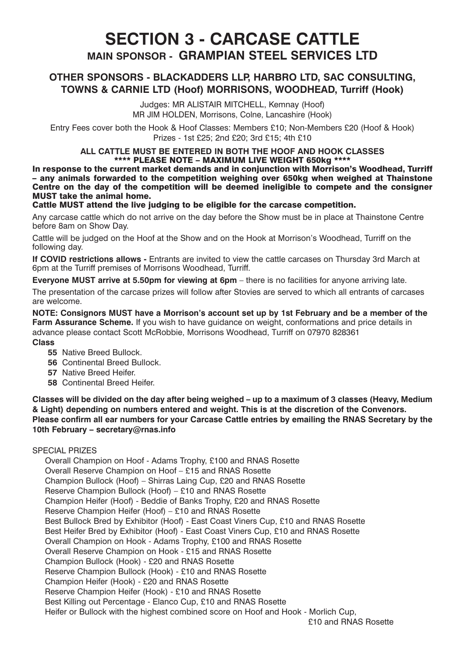# **SECTION 3 - CARCASE CATTLE MAIN SPONSOR - GRAMPIAN STEEL SERVICES LTD**

### **OTHER SPONSORS - BLACKADDERS LLP, HARBRO LTD, SAC CONSULTING, TOWNS & CARNIE LTD (Hoof) MORRISONS, WOODHEAD, Turriff (Hook)**

Judges: MR ALISTAIR MITCHELL, Kemnay (Hoof) MR JIM HOLDEN, Morrisons, Colne, Lancashire (Hook)

Entry Fees cover both the Hook & Hoof Classes: Members £10; Non-Members £20 (Hoof & Hook) Prizes - 1st £25; 2nd £20; 3rd £15; 4th £10

#### **ALL CATTLE MUST BE ENTERED IN BOTH THE HOOF AND HOOK CLASSES** \*\*\*\* PLEASE NOTE – MAXIMUM LIVE WEIGHT 650kg \*\*\*\*

In response to the current market demands and in conjunction with Morrison's Woodhead, Turriff – any animals forwarded to the competition weighing over 650kg when weighed at Thainstone Centre on the day of the competition will be deemed ineligible to compete and the consigner MUST take the animal home.

### Cattle MUST attend the live judging to be eligible for the carcase competition.

Any carcase cattle which do not arrive on the day before the Show must be in place at Thainstone Centre before 8am on Show Day.

Cattle will be judged on the Hoof at the Show and on the Hook at Morrison's Woodhead, Turriff on the following day.

**If COVID restrictions allows -** Entrants are invited to view the cattle carcases on Thursday 3rd March at 6pm at the Turriff premises of Morrisons Woodhead, Turriff.

**Everyone MUST arrive at 5.50pm for viewing at 6pm** – there is no facilities for anyone arriving late.

The presentation of the carcase prizes will follow after Stovies are served to which all entrants of carcases are welcome.

**NOTE: Consignors MUST have a Morrison's account set up by 1st February and be a member of the Farm Assurance Scheme.** If you wish to have guidance on weight, conformations and price details in advance please contact Scott McRobbie, Morrisons Woodhead, Turriff on 07970 828361 **Class**

- **55** Native Breed Bullock.
- **56** Continental Breed Bullock.
- **57** Native Breed Heifer.
- **58** Continental Breed Heifer.

**Classes will be divided on the day after being weighed – up to a maximum of 3 classes (Heavy, Medium & Light) depending on numbers entered and weight. This is at the discretion of the Convenors. Please confirm all ear numbers for your Carcase Cattle entries by emailing the RNAS Secretary by the 10th February – secretary@rnas.info**

### SPECIAL PRIZES

Overall Champion on Hoof - Adams Trophy, £100 and RNAS Rosette Overall Reserve Champion on Hoof – £15 and RNAS Rosette Champion Bullock (Hoof) – Shirras Laing Cup, £20 and RNAS Rosette Reserve Champion Bullock (Hoof) – £10 and RNAS Rosette Champion Heifer (Hoof) - Beddie of Banks Trophy, £20 and RNAS Rosette Reserve Champion Heifer (Hoof) – £10 and RNAS Rosette Best Bullock Bred by Exhibitor (Hoof) - East Coast Viners Cup, £10 and RNAS Rosette Best Heifer Bred by Exhibitor (Hoof) - East Coast Viners Cup, £10 and RNAS Rosette Overall Champion on Hook - Adams Trophy, £100 and RNAS Rosette Overall Reserve Champion on Hook - £15 and RNAS Rosette Champion Bullock (Hook) - £20 and RNAS Rosette Reserve Champion Bullock (Hook) - £10 and RNAS Rosette Champion Heifer (Hook) - £20 and RNAS Rosette Reserve Champion Heifer (Hook) - £10 and RNAS Rosette Best Killing out Percentage - Elanco Cup, £10 and RNAS Rosette Heifer or Bullock with the highest combined score on Hoof and Hook - Morlich Cup,

£10 and RNAS Rosette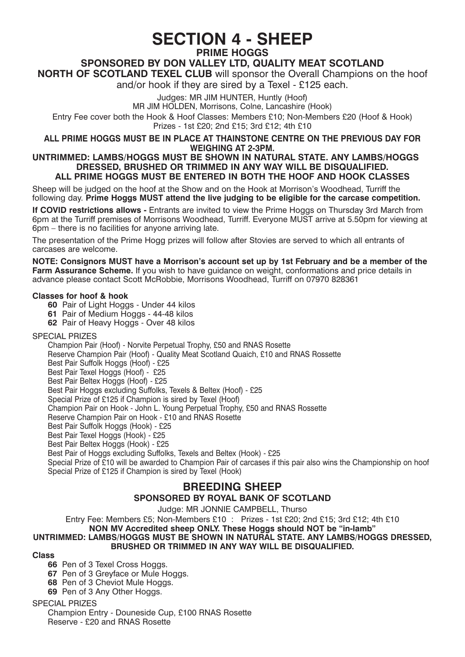# **SECTION 4 - SHEEP**

**PRIME HOGGS**

# **SPONSORED BY DON VALLEY LTD, QUALITY MEAT SCOTLAND**

**NORTH OF SCOTLAND TEXEL CLUB** will sponsor the Overall Champions on the hoof and/or hook if they are sired by a Texel - £125 each.

Judges: MR JIM HUNTER, Huntly (Hoof)

MR JIM HOLDEN, Morrisons, Colne, Lancashire (Hook)

Entry Fee cover both the Hook & Hoof Classes: Members £10; Non-Members £20 (Hoof & Hook) Prizes - 1st £20; 2nd £15; 3rd £12; 4th £10

**ALL PRIME HOGGS MUST BE IN PLACE AT THAINSTONE CENTRE ON THE PREVIOUS DAY FOR WEIGHING AT 2-3PM.**

#### **UNTRIMMED: LAMBS/HOGGS MUST BE SHOWN IN NATURAL STATE. ANY LAMBS/HOGGS DRESSED, BRUSHED OR TRIMMED IN ANY WAY WILL BE DISQUALIFIED. ALL PRIME HOGGS MUST BE ENTERED IN BOTH THE HOOF AND HOOK CLASSES**

Sheep will be judged on the hoof at the Show and on the Hook at Morrison's Woodhead, Turriff the following day. **Prime Hoggs MUST attend the live judging to be eligible for the carcase competition.**

**If COVID restrictions allows -** Entrants are invited to view the Prime Hoggs on Thursday 3rd March from 6pm at the Turriff premises of Morrisons Woodhead, Turriff. Everyone MUST arrive at 5.50pm for viewing at 6pm – there is no facilities for anyone arriving late.

The presentation of the Prime Hogg prizes will follow after Stovies are served to which all entrants of carcases are welcome.

**NOTE: Consignors MUST have a Morrison's account set up by 1st February and be a member of the Farm Assurance Scheme.** If you wish to have guidance on weight, conformations and price details in advance please contact Scott McRobbie, Morrisons Woodhead, Turriff on 07970 828361

### **Classes for hoof & hook**

- **60** Pair of Light Hoggs Under 44 kilos
- **61** Pair of Medium Hoggs 44-48 kilos
- **62** Pair of Heavy Hoggs Over 48 kilos

#### SPECIAL PRIZES

Champion Pair (Hoof) - Norvite Perpetual Trophy, £50 and RNAS Rosette Reserve Champion Pair (Hoof) - Quality Meat Scotland Quaich, £10 and RNAS Rossette Best Pair Suffolk Hoggs (Hoof) - £25 Best Pair Texel Hoggs (Hoof) - £25 Best Pair Beltex Hoggs (Hoof) - £25 Best Pair Hoggs excluding Suffolks, Texels & Beltex (Hoof) - £25 Special Prize of £125 if Champion is sired by Texel (Hoof) Champion Pair on Hook - John L. Young Perpetual Trophy, £50 and RNAS Rossette Reserve Champion Pair on Hook - £10 and RNAS Rosette Best Pair Suffolk Hoggs (Hook) - £25 Best Pair Texel Hoggs (Hook) - £25 Best Pair Beltex Hoggs (Hook) - £25 Best Pair of Hoggs excluding Suffolks, Texels and Beltex (Hook) - £25 Special Prize of £10 will be awarded to Champion Pair of carcases if this pair also wins the Championship on hoof Special Prize of £125 if Champion is sired by Texel (Hook)

### **BREEDING SHEEP**

### **SPONSORED BY ROYAL BANK OF SCOTLAND**

Judge: MR JONNIE CAMPBELL, Thurso

Entry Fee: Members £5; Non-Members £10 : Prizes - 1st £20; 2nd £15; 3rd £12; 4th £10 **NON MV Accredited sheep ONLY. These Hoggs should NOT be "in-lamb" UNTRIMMED: LAMBS/HOGGS MUST BE SHOWN IN NATURAL STATE. ANY LAMBS/HOGGS DRESSED, BRUSHED OR TRIMMED IN ANY WAY WILL BE DISQUALIFIED.**

#### **Class**

- **66** Pen of 3 Texel Cross Hoggs.
- **67** Pen of 3 Greyface or Mule Hoggs.
- **68** Pen of 3 Cheviot Mule Hoggs.
- **69** Pen of 3 Any Other Hoggs.

#### SPECIAL PRIZES

Champion Entry - Douneside Cup, £100 RNAS Rosette Reserve - £20 and RNAS Rosette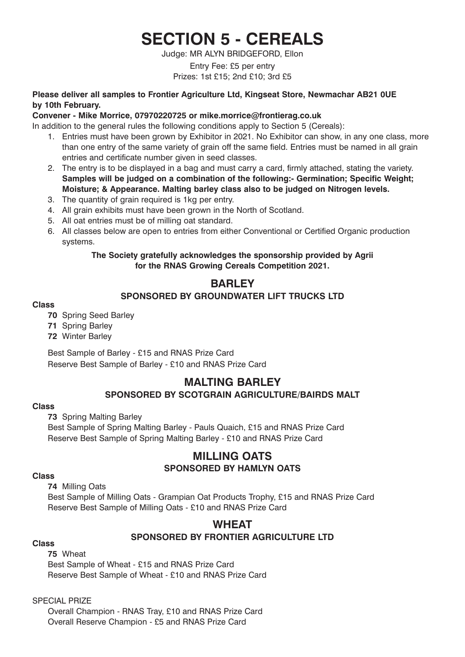# **SECTION 5 - CEREALS**

Judge: MR ALYN BRIDGEFORD, Ellon

### Entry Fee: £5 per entry Prizes: 1st £15; 2nd £10; 3rd £5

### **Please deliver all samples to Frontier Agriculture Ltd, Kingseat Store, Newmachar AB21 0UE by 10th February.**

### **Convener - Mike Morrice, 07970220725 or mike.morrice@frontierag.co.uk**

In addition to the general rules the following conditions apply to Section 5 (Cereals):

- 1. Entries must have been grown by Exhibitor in 2021. No Exhibitor can show, in any one class, more than one entry of the same variety of grain off the same field. Entries must be named in all grain entries and certificate number given in seed classes.
- 2. The entry is to be displayed in a bag and must carry a card, firmly attached, stating the variety. **Samples will be judged on a combination of the following:- Germination; Specific Weight; Moisture; & Appearance. Malting barley class also to be judged on Nitrogen levels.**
- 3. The quantity of grain required is 1kg per entry.
- 4. All grain exhibits must have been grown in the North of Scotland.
- 5. All oat entries must be of milling oat standard.
- 6. All classes below are open to entries from either Conventional or Certified Organic production systems.

### **The Society gratefully acknowledges the sponsorship provided by Agrii for the RNAS Growing Cereals Competition 2021.**

### **BARLEY**

### **SPONSORED BY GROUNDWATER LIFT TRUCKS LTD**

### **Class**

### **70** Spring Seed Barley

- **71** Spring Barley
- **72** Winter Barley

Best Sample of Barley - £15 and RNAS Prize Card Reserve Best Sample of Barley - £10 and RNAS Prize Card

# **MALTING BARLEY SPONSORED BY SCOTGRAIN AGRICULTURE/BAIRDS MALT**

#### **Class**

**73** Spring Malting Barley

Best Sample of Spring Malting Barley - Pauls Quaich, £15 and RNAS Prize Card Reserve Best Sample of Spring Malting Barley - £10 and RNAS Prize Card

### **MILLING OATS SPONSORED BY HAMLYN OATS**

#### **Class**

**74** Milling Oats

Best Sample of Milling Oats - Grampian Oat Products Trophy, £15 and RNAS Prize Card Reserve Best Sample of Milling Oats - £10 and RNAS Prize Card

# **WHEAT SPONSORED BY FRONTIER AGRICULTURE LTD Class**

**75** Wheat Best Sample of Wheat - £15 and RNAS Prize Card Reserve Best Sample of Wheat - £10 and RNAS Prize Card

SPECIAL PRIZE

Overall Champion - RNAS Tray, £10 and RNAS Prize Card Overall Reserve Champion - £5 and RNAS Prize Card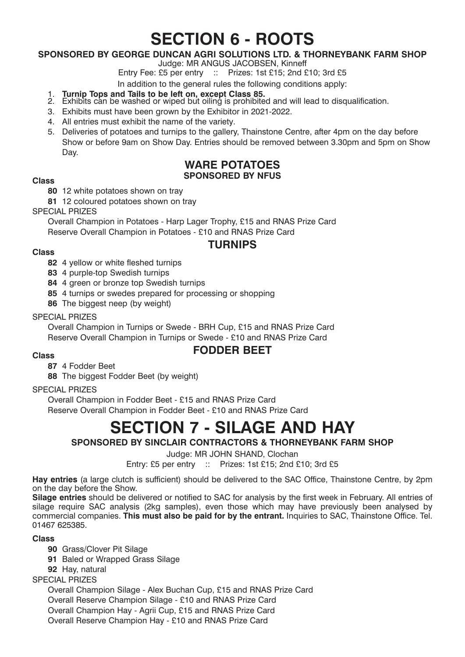# **SECTION 6 - ROOTS**

### **SPONSORED BY GEORGE DUNCAN AGRI SOLUTIONS LTD. & THORNEYBANK FARM SHOP**

Judge: MR ANGUS JACOBSEN, Kinneff

Entry Fee: £5 per entry :: Prizes: 1st £15: 2nd £10: 3rd £5

In addition to the general rules the following conditions apply:

- 
- 1. **Turnip Tops and Tails to be left on, except Class 85.**<br>2. Exhibits can be washed or wiped but oiling is prohibited and will lead to disqualification.
- 3. Exhibits must have been grown by the Exhibitor in 2021-2022.
- 4. All entries must exhibit the name of the variety.
- 5. Deliveries of potatoes and turnips to the gallery, Thainstone Centre, after 4pm on the day before Show or before 9am on Show Day. Entries should be removed between 3.30pm and 5pm on Show Day.

### **WARE POTATOES SPONSORED BY NFUS Class**

**80** 12 white potatoes shown on tray

**81** 12 coloured potatoes shown on tray

SPECIAL PRIZES

Overall Champion in Potatoes - Harp Lager Trophy, £15 and RNAS Prize Card Reserve Overall Champion in Potatoes - £10 and RNAS Prize Card

### **TURNIPS**

### **Class**

- **82** 4 yellow or white fleshed turnips
- **83** 4 purple-top Swedish turnips
- **84** 4 green or bronze top Swedish turnips
- **85** 4 turnips or swedes prepared for processing or shopping
- **86** The biggest neep (by weight)

### SPECIAL PRIZES

Overall Champion in Turnips or Swede - BRH Cup, £15 and RNAS Prize Card Reserve Overall Champion in Turnips or Swede - £10 and RNAS Prize Card

# **FODDER BEET Class**

**87** 4 Fodder Beet

**88** The biggest Fodder Beet (by weight)

### SPECIAL PRIZES

Overall Champion in Fodder Beet - £15 and RNAS Prize Card Reserve Overall Champion in Fodder Beet - £10 and RNAS Prize Card

# **SECTION 7 - SILAGE AND HAY**

### **SPONSORED BY SINCLAIR CONTRACTORS & THORNEYBANK FARM SHOP**

Judge: MR JOHN SHAND, Clochan

Entry: £5 per entry :: Prizes: 1st £15; 2nd £10; 3rd £5

**Hay entries** (a large clutch is sufficient) should be delivered to the SAC Office, Thainstone Centre, by 2pm on the day before the Show.

**Silage entries** should be delivered or notified to SAC for analysis by the first week in February. All entries of silage require SAC analysis (2kg samples), even those which may have previously been analysed by commercial companies. **This must also be paid for by the entrant.** Inquiries to SAC, Thainstone Office. Tel. 01467 625385.

### **Class**

- **90** Grass/Clover Pit Silage
- **91** Baled or Wrapped Grass Silage
- **92** Hay, natural

SPECIAL PRIZES

Overall Champion Silage - Alex Buchan Cup, £15 and RNAS Prize Card Overall Reserve Champion Silage - £10 and RNAS Prize Card Overall Champion Hay - Agrii Cup, £15 and RNAS Prize Card Overall Reserve Champion Hay - £10 and RNAS Prize Card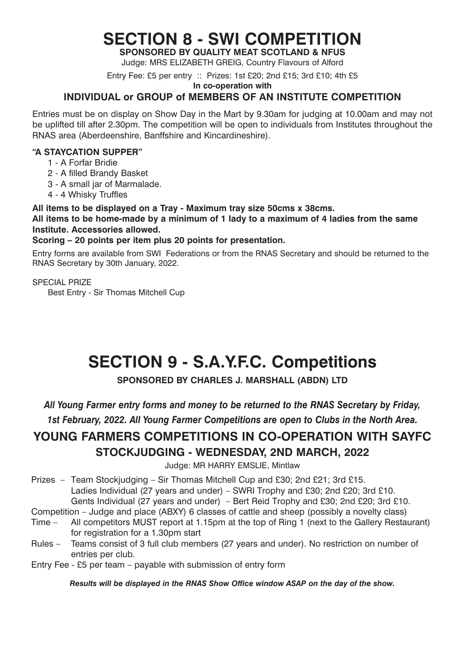# **SECTION 8 - SWI COMPETITION**

**SPONSORED BY QUALITY MEAT SCOTLAND & NFUS** Judge: MRS ELIZABETH GREIG, Country Flavours of Alford

Entry Fee: £5 per entry :: Prizes: 1st £20; 2nd £15; 3rd £10; 4th £5

**In co-operation with**

### **INDIVIDUAL or GROUP of MEMBERS OF AN INSTITUTE COMPETITION**

Entries must be on display on Show Day in the Mart by 9.30am for judging at 10.00am and may not be uplifted till after 2.30pm. The competition will be open to individuals from Institutes throughout the RNAS area (Aberdeenshire, Banffshire and Kincardineshire).

### **"A STAYCATION SUPPER"**

- 1 A Forfar Bridie
- 2 A filled Brandy Basket
- 3 A small jar of Marmalade.
- 4 4 Whisky Truffles

### **All items to be displayed on a Tray - Maximum tray size 50cms x 38cms.**

**All items to be home-made by a minimum of 1 lady to a maximum of 4 ladies from the same Institute. Accessories allowed.**

### **Scoring – 20 points per item plus 20 points for presentation.**

Entry forms are available from SWI Federations or from the RNAS Secretary and should be returned to the RNAS Secretary by 30th January, 2022.

SPECIAL PRIZE

Best Entry - Sir Thomas Mitchell Cup

# **SECTION 9 - S.A.Y.F.C. Competitions**

# **SPONSORED BY CHARLES J. MARSHALL (ABDN) LTD**

*All Young Farmer entry forms and money to be returned to the RNAS Secretary by Friday,* 

*1st February, 2022. All Young Farmer Competitions are open to Clubs in the North Area.*

# **YOUNG FARMERS COMPETITIONS IN CO-OPERATION WITH SAYFC STOCKJUDGING - WEDNESDAY, 2ND MARCH, 2022**

Judge: MR HARRY EMSLIE, Mintlaw

Prizes – Team Stockjudging – Sir Thomas Mitchell Cup and £30; 2nd £21; 3rd £15. Ladies Individual (27 years and under) – SWRI Trophy and £30; 2nd £20; 3rd £10. Gents Individual (27 years and under) – Bert Reid Trophy and £30; 2nd £20; 3rd £10.

Competition – Judge and place (ABXY) 6 classes of cattle and sheep (possibly a novelty class)

- Time All competitors MUST report at 1.15pm at the top of Ring 1 (next to the Gallery Restaurant) for registration for a 1.30pm start
- Rules Teams consist of 3 full club members (27 years and under). No restriction on number of entries per club.

Entry Fee - £5 per team – payable with submission of entry form

*Results will be displayed in the RNAS Show Office window ASAP on the day of the show.*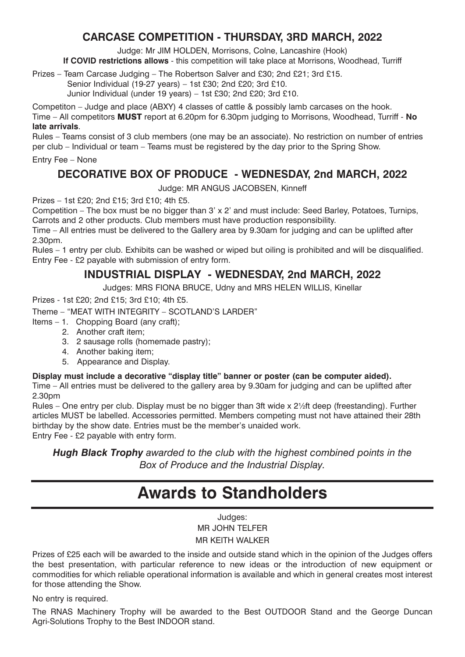# **CARCASE COMPETITION - THURSDAY, 3RD MARCH, 2022**

Judge: Mr JIM HOLDEN, Morrisons, Colne, Lancashire (Hook)

**If COVID restrictions allows** - this competition will take place at Morrisons, Woodhead, Turriff

Prizes – Team Carcase Judging – The Robertson Salver and £30; 2nd £21; 3rd £15.

Senior Individual (19-27 years) – 1st £30; 2nd £20; 3rd £10.

Junior Individual (under 19 years) – 1st £30; 2nd £20; 3rd £10.

Competiton – Judge and place (ABXY) 4 classes of cattle & possibly lamb carcases on the hook. Time – All competitors MUST report at 6.20pm for 6.30pm judging to Morrisons, Woodhead, Turriff - **No late arrivals**.

Rules – Teams consist of 3 club members (one may be an associate). No restriction on number of entries per club – Individual or team – Teams must be registered by the day prior to the Spring Show.

Entry Fee – None

# **DECORATIVE BOX OF PRODUCE - WEDNESDAY, 2nd MARCH, 2022**

Judge: MR ANGUS JACOBSEN, Kinneff

Prizes – 1st £20; 2nd £15; 3rd £10; 4th £5.

Competition – The box must be no bigger than 3' x 2' and must include: Seed Barley, Potatoes, Turnips, Carrots and 2 other products. Club members must have production responsibility.

Time – All entries must be delivered to the Gallery area by 9.30am for judging and can be uplifted after 2.30pm.

Rules – 1 entry per club. Exhibits can be washed or wiped but oiling is prohibited and will be disqualified. Entry Fee - £2 payable with submission of entry form.

# **INDUSTRIAL DISPLAY - WEDNESDAY, 2nd MARCH, 2022**

Judges: MRS FIONA BRUCE, Udny and MRS HELEN WILLIS, Kinellar

Prizes - 1st £20; 2nd £15; 3rd £10; 4th £5.

Theme – "MEAT WITH INTEGRITY – SCOTLAND'S LARDER"

- Items 1. Chopping Board (any craft);
	- 2. Another craft item;
	- 3. 2 sausage rolls (homemade pastry);
	- 4. Another baking item;
	- 5. Appearance and Display.

### **Display must include a decorative "display title" banner or poster (can be computer aided).**

Time – All entries must be delivered to the gallery area by 9.30am for judging and can be uplifted after 2.30pm

Rules – One entry per club. Display must be no bigger than 3ft wide x 2½ft deep (freestanding). Further articles MUST be labelled. Accessories permitted. Members competing must not have attained their 28th birthday by the show date. Entries must be the member's unaided work. Entry Fee - £2 payable with entry form.

*Hugh Black Trophy awarded to the club with the highest combined points in the Box of Produce and the Industrial Display.* 

# **Awards to Standholders**

Judges: MR JOHN TELFER MR KEITH WALKER

Prizes of £25 each will be awarded to the inside and outside stand which in the opinion of the Judges offers the best presentation, with particular reference to new ideas or the introduction of new equipment or commodities for which reliable operational information is available and which in general creates most interest for those attending the Show.

No entry is required.

The RNAS Machinery Trophy will be awarded to the Best OUTDOOR Stand and the George Duncan Agri-Solutions Trophy to the Best INDOOR stand.